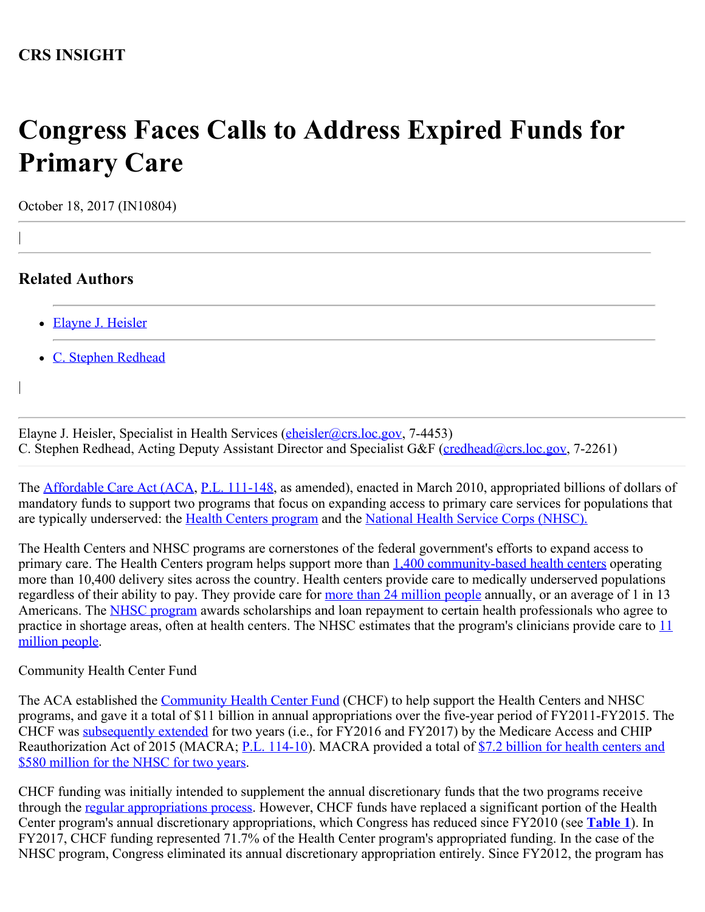## **Congress Faces Calls to Address Expired Funds for Primary Care**

October 18, 2017 (IN10804)

## **Related Authors**

|

|

- [Elayne J. Heisler](http://www.crs.gov/Author/index?id=101309)
- [C. Stephen Redhead](http://www.crs.gov/Author/index?id=3940)

Elayne J. Heisler, Specialist in Health Services [\(eheisler@crs.loc.gov](mailto:eheisler@crs.loc.gov), 7-4453) C. Stephen Redhead, Acting Deputy Assistant Director and Specialist G&F [\(credhead@crs.loc.gov](mailto:credhead@crs.loc.gov), 7-2261)

The **Affordable Care Act (ACA, [P.L. 111-148](http://www.congress.gov/cgi-lis/bdquery/R?d111:FLD002:@1(111+148))**, as amended), enacted in March 2010, appropriated billions of dollars of mandatory funds to support two programs that focus on expanding access to primary care services for populations that are typically underserved: the [Health Centers program](https://fas.org/sgp/crs/misc/R42433.pdf) and the [National Health Service Corps \(NHSC\).](https://fas.org/sgp/crs/misc/R44970.pdf)

The Health Centers and NHSC programs are cornerstones of the federal government's efforts to expand access to primary care. The Health Centers program helps support more than [1,400 community-based health centers](https://datawarehouse.hrsa.gov/topics/HrsaInYour/factSheetNation.aspx) operating more than 10,400 delivery sites across the country. Health centers provide care to medically underserved populations regardless of their ability to pay. They provide care for [more than 24 million people](https://bphc.hrsa.gov/about/healthcenterprogram/index.html) annually, or an average of 1 in 13 Americans. The [NHSC program](https://fas.org/sgp/crs/misc/R44970.pdf) awards scholarships and loan repayment to certain health professionals who agree to practice in shortage areas, often at health centers. The NHSC estimates that the program's clinicians provide care to [11](https://www.hrsa.gov/sites/default/files/hrsa/about/budget/budget-justification-2018.pdf#page=72) [million people](https://www.hrsa.gov/sites/default/files/hrsa/about/budget/budget-justification-2018.pdf#page=72).

Community Health Center Fund

The ACA established the [Community Health Center Fund](https://fas.org/sgp/crs/misc/R43304.pdf) (CHCF) to help support the Health Centers and NHSC programs, and gave it a total of \$11 billion in annual appropriations over the five-year period of FY2011-FY2015. The CHCF was [subsequently extended](https://fas.org/sgp/crs/misc/R43962.pdf) for two years (i.e., for FY2016 and FY2017) by the Medicare Access and CHIP Reauthorization Act of 2015 (MACRA; [P.L. 114-10](http://www.congress.gov/cgi-lis/bdquery/R?d114:FLD002:@1(114+10))). MACRA provided a total of [\\$7.2 billion for health centers and](https://fas.org/sgp/crs/misc/R43962.pdf) [\\$580 million for the NHSC for two years](https://fas.org/sgp/crs/misc/R43962.pdf).

CHCF funding was initially intended to supplement the annual discretionary funds that the two programs receive through the [regular appropriations process](http://www.crs.gov/pages/Reports.aspx?PRODCODE=R43236&Source=search). However, CHCF funds have replaced a significant portion of the Health Center program's annual discretionary appropriations, which Congress has reduced since FY2010 (see **[Table 1](http://www.crs.gov/Reports/IN10804?source=INLanding#_Ref496095851)**). In FY2017, CHCF funding represented 71.7% of the Health Center program's appropriated funding. In the case of the NHSC program, Congress eliminated its annual discretionary appropriation entirely. Since FY2012, the program has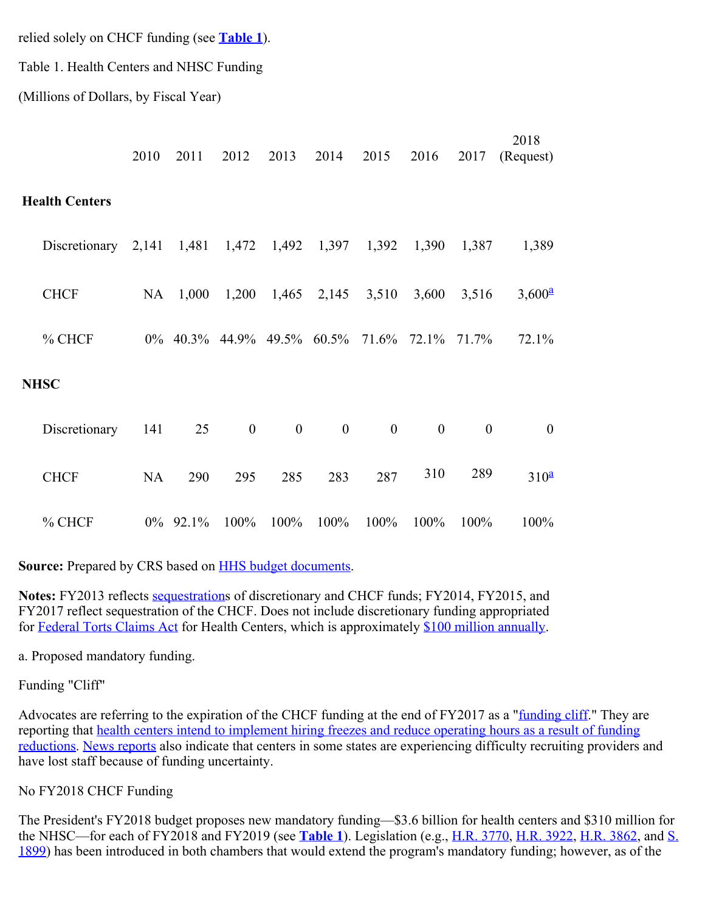relied solely on CHCF funding (see **[Table 1](http://www.crs.gov/Reports/IN10804?source=INLanding#_Ref496095851)**).

Table 1. Health Centers and NHSC Funding

(Millions of Dollars, by Fiscal Year)

|                       | 2010      | 2011     | 2012                          | 2013              | 2014             | 2015         | 2016             | 2017             | 2018<br>(Request)       |
|-----------------------|-----------|----------|-------------------------------|-------------------|------------------|--------------|------------------|------------------|-------------------------|
| <b>Health Centers</b> |           |          |                               |                   |                  |              |                  |                  |                         |
| Discretionary $2,141$ |           | 1,481    |                               | 1,472 1,492 1,397 |                  | 1,392        | 1,390            | 1,387            | 1,389                   |
| <b>CHCF</b>           | NA        | 1,000    | 1,200                         |                   | $1,465$ $2,145$  | 3,510        | 3,600            | 3,516            | $3,600^{\underline{a}}$ |
| % CHCF                |           |          | $0\%$ 40.3% 44.9% 49.5% 60.5% |                   |                  | 71.6%        | 72.1% 71.7%      |                  | 72.1%                   |
| <b>NHSC</b>           |           |          |                               |                   |                  |              |                  |                  |                         |
| Discretionary         | 141       | 25       | $\boldsymbol{0}$              | $\boldsymbol{0}$  | $\boldsymbol{0}$ | $\mathbf{0}$ | $\boldsymbol{0}$ | $\boldsymbol{0}$ | $\boldsymbol{0}$        |
| <b>CHCF</b>           | <b>NA</b> | 290      | 295                           | 285               | 283              | 287          | 310              | 289              | 310 <sup>4</sup>        |
| % CHCF                |           | 0% 92.1% | 100%                          | 100%              | 100%             | 100%         | 100%             | 100%             | 100%                    |

Source: Prepared by CRS based on **HHS budget documents**.

**Notes:** FY2013 reflects [sequestration](https://fas.org/sgp/crs/misc/R42050.pdf)s of discretionary and CHCF funds; FY2014, FY2015, and FY2017 reflect sequestration of the CHCF. Does not include discretionary funding appropriated for [Federal Torts Claims Act](https://bphc.hrsa.gov/ftca/index.html) for Health Centers, which is approximately [\\$100 million annually.](https://www.hrsa.gov/sites/default/files/hrsa/about/budget/budget-justification-2018.pdf#page=54)

a. Proposed mandatory funding.

Funding "Cliff"

Advocates are referring to the expiration of the CHCF funding at the end of FY2017 as a ["funding cliff](http://www.nachc.org/policy-matters/federal-issues/appropriations/)." They are reporting that [health centers intend to implement hiring freezes and reduce operating hours as a result of funding](http://www.nachc.org/news/survey-shows-funding-cliff-already-disrupting-access-care-community-health-centers/) [reductions.](http://www.nachc.org/news/survey-shows-funding-cliff-already-disrupting-access-care-community-health-centers/) [News reports](http://www.cq.com/doc/news-5194181?0) also indicate that centers in some states are experiencing difficulty recruiting providers and have lost staff because of funding uncertainty.

## No FY2018 CHCF Funding

The President's FY2018 budget proposes new mandatory funding—\$3.6 billion for health centers and \$310 million for the NHSC—for each of FY2018 and FY2019 (see **[Table 1](http://www.crs.gov/Reports/IN10804?source=INLanding#_Ref496095851)**). Legislation (e.g., [H.R. 3770,](http://www.congress.gov/cgi-lis/bdquery/z?d115:H.R.3770:) [H.R. 3922,](http://www.congress.gov/cgi-lis/bdquery/z?d115:H.R.3922:) [H.R. 3862,](http://www.congress.gov/cgi-lis/bdquery/z?d115:H.R.3862:) and [S.](http://www.congress.gov/cgi-lis/bdquery/z?d115:S.1899:) [1899](http://www.congress.gov/cgi-lis/bdquery/z?d115:S.1899:)) has been introduced in both chambers that would extend the program's mandatory funding; however, as of the